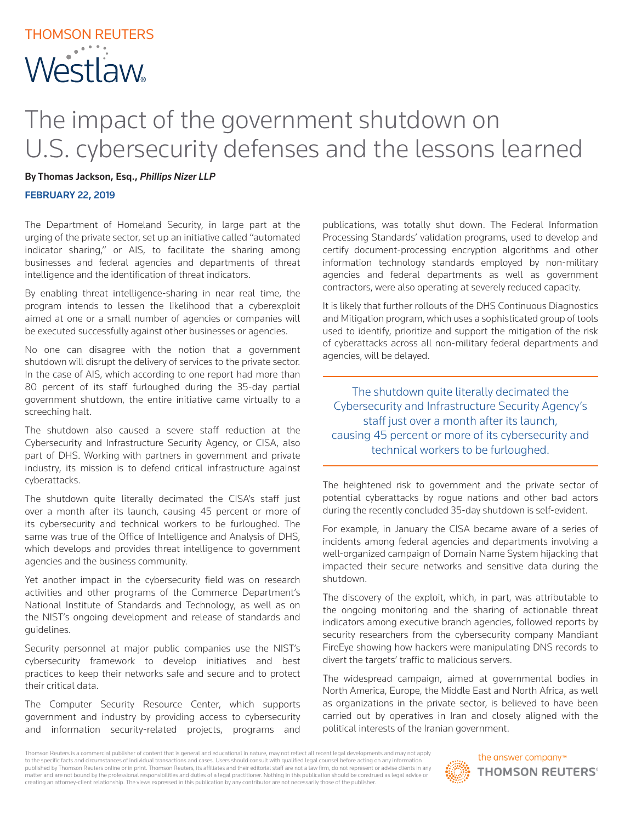## THOMSON REUTERS **Westlaw**

## The impact of the government shutdown on U.S. cybersecurity defenses and the lessons learned

By Thomas Jackson, Esq., *Phillips Nizer LLP*

FEBRUARY 22, 2019

The Department of Homeland Security, in large part at the urging of the private sector, set up an initiative called "automated indicator sharing," or AIS, to facilitate the sharing among businesses and federal agencies and departments of threat intelligence and the identification of threat indicators.

By enabling threat intelligence-sharing in near real time, the program intends to lessen the likelihood that a cyberexploit aimed at one or a small number of agencies or companies will be executed successfully against other businesses or agencies.

No one can disagree with the notion that a government shutdown will disrupt the delivery of services to the private sector. In the case of AIS, which according to one report had more than 80 percent of its staff furloughed during the 35-day partial government shutdown, the entire initiative came virtually to a screeching halt.

The shutdown also caused a severe staff reduction at the Cybersecurity and Infrastructure Security Agency, or CISA, also part of DHS. Working with partners in government and private industry, its mission is to defend critical infrastructure against cyberattacks.

The shutdown quite literally decimated the CISA's staff just over a month after its launch, causing 45 percent or more of its cybersecurity and technical workers to be furloughed. The same was true of the Office of Intelligence and Analysis of DHS, which develops and provides threat intelligence to government agencies and the business community.

Yet another impact in the cybersecurity field was on research activities and other programs of the Commerce Department's National Institute of Standards and Technology, as well as on the NIST's ongoing development and release of standards and guidelines.

Security personnel at major public companies use the NIST's cybersecurity framework to develop initiatives and best practices to keep their networks safe and secure and to protect their critical data.

The Computer Security Resource Center, which supports government and industry by providing access to cybersecurity and information security-related projects, programs and

publications, was totally shut down. The Federal Information Processing Standards' validation programs, used to develop and certify document-processing encryption algorithms and other information technology standards employed by non-military agencies and federal departments as well as government contractors, were also operating at severely reduced capacity.

It is likely that further rollouts of the DHS Continuous Diagnostics and Mitigation program, which uses a sophisticated group of tools used to identify, prioritize and support the mitigation of the risk of cyberattacks across all non-military federal departments and agencies, will be delayed.

The shutdown quite literally decimated the Cybersecurity and Infrastructure Security Agency's staff just over a month after its launch, causing 45 percent or more of its cybersecurity and technical workers to be furloughed.

The heightened risk to government and the private sector of potential cyberattacks by rogue nations and other bad actors during the recently concluded 35-day shutdown is self-evident.

For example, in January the CISA became aware of a series of incidents among federal agencies and departments involving a well-organized campaign of Domain Name System hijacking that impacted their secure networks and sensitive data during the shutdown.

The discovery of the exploit, which, in part, was attributable to the ongoing monitoring and the sharing of actionable threat indicators among executive branch agencies, followed reports by security researchers from the cybersecurity company Mandiant FireEye showing how hackers were manipulating DNS records to divert the targets' traffic to malicious servers.

The widespread campaign, aimed at governmental bodies in North America, Europe, the Middle East and North Africa, as well as organizations in the private sector, is believed to have been carried out by operatives in Iran and closely aligned with the political interests of the Iranian government.

Thomson Reuters is a commercial publisher of content that is general and educational in nature, may not reflect all recent legal developments and may not apply to the specific facts and circumstances of individual transactions and cases. Users should consult with qualified legal counsel before acting on any information published by Thomson Reuters online or in print. Thomson Reuters, its affiliates and their editorial staff are not a law firm, do not represent or advise clients in any matter and are not bound by the professional responsibilities and duties of a legal practitioner. Nothing in this publication should be construed as legal advice or creating an attorney-client relationship. The views expressed in this publication by any contributor are not necessarily those of the publisher.